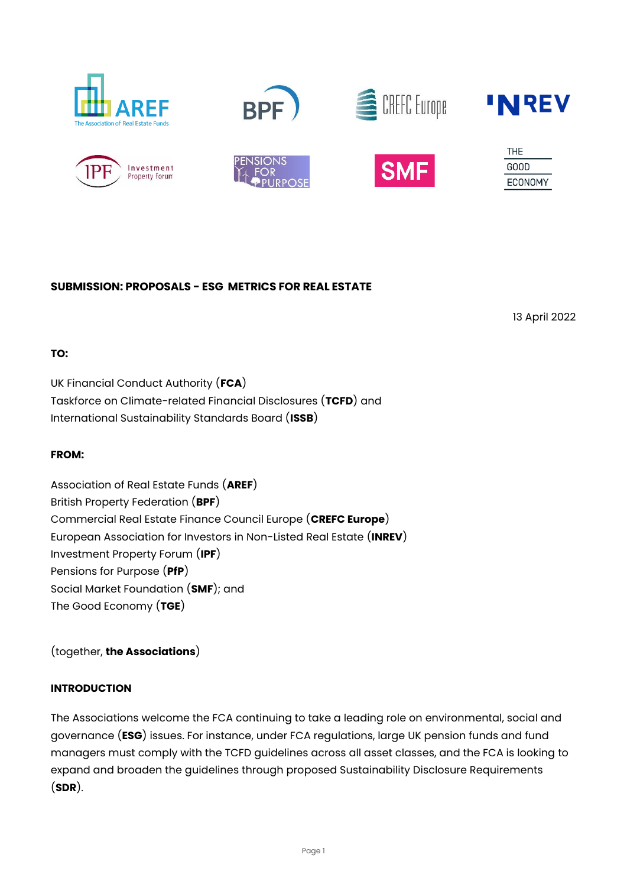













| THE     |
|---------|
| GOOD    |
| ECONOMY |

## **SUBMISSION: PROPOSALS - ESG METRICS FOR REAL ESTATE**

13 April 2022

# **TO:**

UK Financial Conduct Authority (**FCA**) Taskforce on Climate-related Financial Disclosures (**TCFD**) and International Sustainability Standards Board (**ISSB**)

# **FROM:**

Association of Real Estate Funds (**AREF**) British Property Federation (**BPF**) Commercial Real Estate Finance Council Europe (**CREFC Europe**) European Association for Investors in Non-Listed Real Estate (**INREV**) Investment Property Forum (**IPF**) Pensions for Purpose (**PfP**) Social Market Foundation (**SMF**); and The Good Economy (**TGE**)

(together, **the Associations**)

# **INTRODUCTION**

The Associations welcome the FCA continuing to take a leading role on environmental, social and governance (**ESG**) issues. For instance, under FCA regulations, large UK pension funds and fund managers must comply with the TCFD guidelines across all asset classes, and the FCA is looking to expand and broaden the guidelines through proposed Sustainability Disclosure Requirements (**SDR**).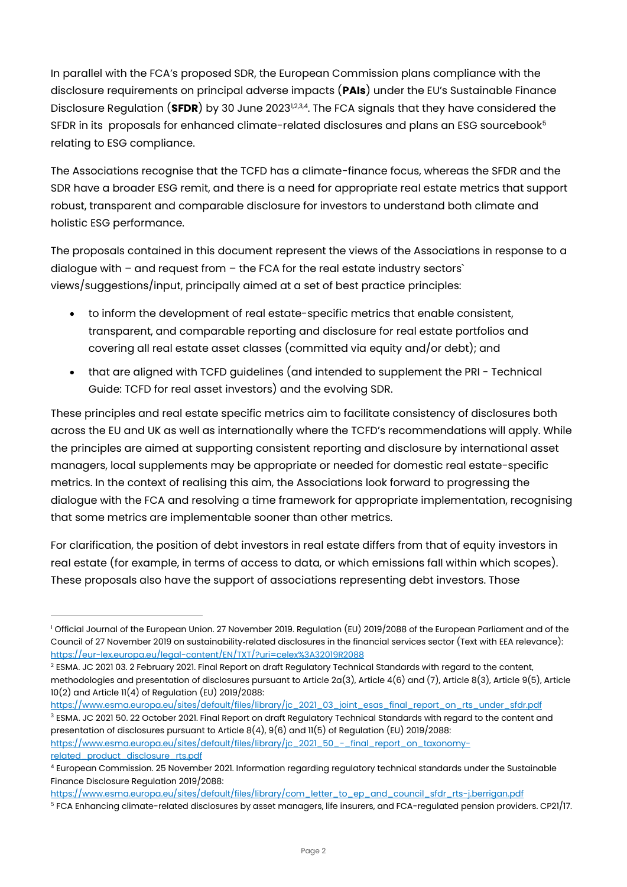In parallel with the FCA's proposed SDR, the European Commission plans compliance with the disclosure requirements on principal adverse impacts (**PAIs**) under the EU's Sustainable Finance Disclosure Regulation (**SFDR**) by 30 June 2023<sup>12,3,4</sup>. The FCA signals that they have considered the SFDR in its proposals for enhanced climate-related disclosures and plans an ESG sourcebook<sup>5</sup> relating to ESG compliance.

The Associations recognise that the TCFD has a climate-finance focus, whereas the SFDR and the SDR have a broader ESG remit, and there is a need for appropriate real estate metrics that support robust, transparent and comparable disclosure for investors to understand both climate and holistic ESG performance.

The proposals contained in this document represent the views of the Associations in response to a dialogue with – and request from – the FCA for the real estate industry sectors` views/suggestions/input, principally aimed at a set of best practice principles:

- to inform the development of real estate-specific metrics that enable consistent, transparent, and comparable reporting and disclosure for real estate portfolios and covering all real estate asset classes (committed via equity and/or debt); and
- that are aligned with TCFD guidelines (and intended to supplement the PRI Technical Guide: TCFD for real asset investors) and the evolving SDR.

These principles and real estate specific metrics aim to facilitate consistency of disclosures both across the EU and UK as well as internationally where the TCFD's recommendations will apply. While the principles are aimed at supporting consistent reporting and disclosure by international asset managers, local supplements may be appropriate or needed for domestic real estate-specific metrics. In the context of realising this aim, the Associations look forward to progressing the dialogue with the FCA and resolving a time framework for appropriate implementation, recognising that some metrics are implementable sooner than other metrics.

For clarification, the position of debt investors in real estate differs from that of equity investors in real estate (for example, in terms of access to data, or which emissions fall within which scopes). These proposals also have the support of associations representing debt investors. Those

[related\\_product\\_disclosure\\_rts.pdf](https://www.esma.europa.eu/sites/default/files/library/jc_2021_50_-_final_report_on_taxonomy-related_product_disclosure_rts.pdf)

<sup>&</sup>lt;sup>1</sup> Official Journal of the European Union. 27 November 2019. Regulation (EU) 2019/2088 of the European Parliament and of the Council of 27 November 2019 on sustainability‐related disclosures in the financial services sector (Text with EEA relevance): <https://eur-lex.europa.eu/legal-content/EN/TXT/?uri=celex%3A32019R2088>

<sup>&</sup>lt;sup>2</sup> ESMA. JC 2021 03. 2 February 2021. Final Report on draft Regulatory Technical Standards with regard to the content, methodologies and presentation of disclosures pursuant to Article 2a(3), Article 4(6) and (7), Article 8(3), Article 9(5), Article 10(2) and Article 11(4) of Regulation (EU) 2019/2088:

[https://www.esma.europa.eu/sites/default/files/library/jc\\_2021\\_03\\_joint\\_esas\\_final\\_report\\_on\\_rts\\_under\\_sfdr.pdf](https://www.esma.europa.eu/sites/default/files/library/jc_2021_03_joint_esas_final_report_on_rts_under_sfdr.pdf) <sup>3</sup> ESMA. JC 2021 50. 22 October 2021. Final Report on draft Regulatory Technical Standards with regard to the content and presentation of disclosures pursuant to Article 8(4), 9(6) and 11(5) of Regulation (EU) 2019/2088: [https://www.esma.europa.eu/sites/default/files/library/jc\\_2021\\_50\\_-\\_final\\_report\\_on\\_taxonomy-](https://www.esma.europa.eu/sites/default/files/library/jc_2021_50_-_final_report_on_taxonomy-related_product_disclosure_rts.pdf)

<sup>4</sup> European Commission. 25 November 2021. Information regarding regulatory technical standards under the Sustainable Finance Disclosure Regulation 2019/2088:

[https://www.esma.europa.eu/sites/default/files/library/com\\_letter\\_to\\_ep\\_and\\_council\\_sfdr\\_rts-j.berrigan.pdf](https://www.esma.europa.eu/sites/default/files/library/com_letter_to_ep_and_council_sfdr_rts-j.berrigan.pdf)

<sup>5</sup> FCA Enhancing climate-related disclosures by asset managers, life insurers, and FCA-regulated pension providers. CP21/17.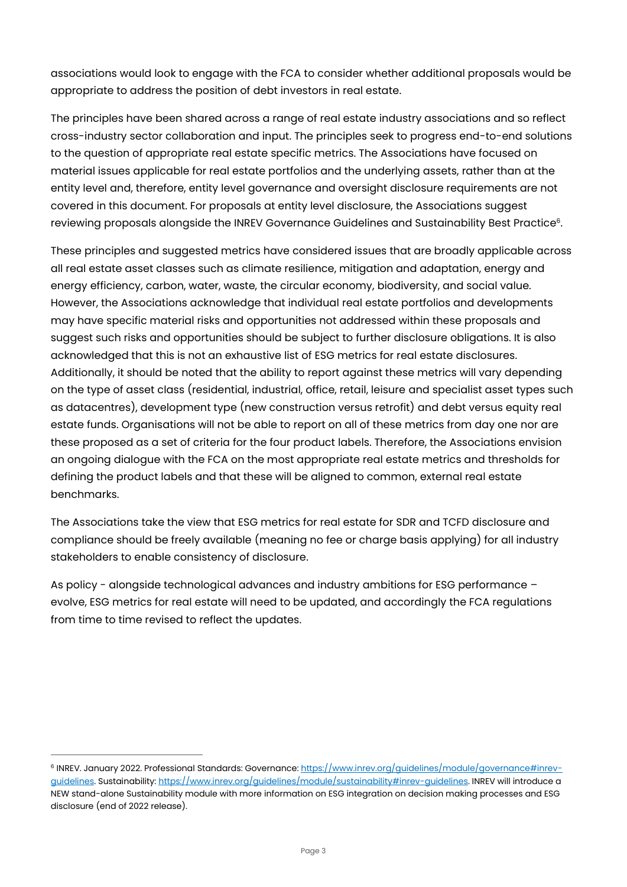associations would look to engage with the FCA to consider whether additional proposals would be appropriate to address the position of debt investors in real estate.

The principles have been shared across a range of real estate industry associations and so reflect cross-industry sector collaboration and input. The principles seek to progress end-to-end solutions to the question of appropriate real estate specific metrics. The Associations have focused on material issues applicable for real estate portfolios and the underlying assets, rather than at the entity level and, therefore, entity level governance and oversight disclosure requirements are not covered in this document. For proposals at entity level disclosure, the Associations suggest reviewing proposals alongside the INREV Governance Guidelines and Sustainability Best Practice $^{\rm 6.}$ 

These principles and suggested metrics have considered issues that are broadly applicable across all real estate asset classes such as climate resilience, mitigation and adaptation, energy and energy efficiency, carbon, water, waste, the circular economy, biodiversity, and social value. However, the Associations acknowledge that individual real estate portfolios and developments may have specific material risks and opportunities not addressed within these proposals and suggest such risks and opportunities should be subject to further disclosure obligations. It is also acknowledged that this is not an exhaustive list of ESG metrics for real estate disclosures. Additionally, it should be noted that the ability to report against these metrics will vary depending on the type of asset class (residential, industrial, office, retail, leisure and specialist asset types such as datacentres), development type (new construction versus retrofit) and debt versus equity real estate funds. Organisations will not be able to report on all of these metrics from day one nor are these proposed as a set of criteria for the four product labels. Therefore, the Associations envision an ongoing dialogue with the FCA on the most appropriate real estate metrics and thresholds for defining the product labels and that these will be aligned to common, external real estate benchmarks.

The Associations take the view that ESG metrics for real estate for SDR and TCFD disclosure and compliance should be freely available (meaning no fee or charge basis applying) for all industry stakeholders to enable consistency of disclosure.

As policy - alongside technological advances and industry ambitions for ESG performance – evolve, ESG metrics for real estate will need to be updated, and accordingly the FCA regulations from time to time revised to reflect the updates.

<sup>&</sup>lt;sup>6</sup> INREV. January 2022. Professional Standards: Governance: <u>https://www.inrev.org/guidelines/module/governance#inrev-</u> [guidelines.](https://www.inrev.org/guidelines/module/governance#inrev-guidelines) Sustainability[: https://www.inrev.org/guidelines/module/sustainability#inrev-guidelines.](https://www.inrev.org/guidelines/module/sustainability#inrev-guidelines) INREV will introduce a NEW stand-alone Sustainability module with more information on ESG integration on decision making processes and ESG disclosure (end of 2022 release).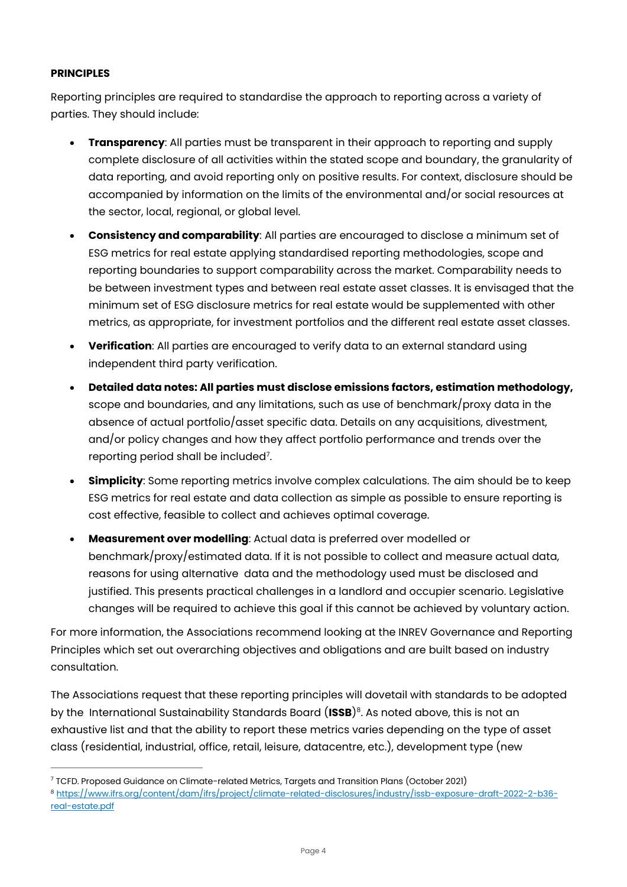### **PRINCIPLES**

Reporting principles are required to standardise the approach to reporting across a variety of parties. They should include:

- **Transparency**: All parties must be transparent in their approach to reporting and supply complete disclosure of all activities within the stated scope and boundary, the granularity of data reporting, and avoid reporting only on positive results. For context, disclosure should be accompanied by information on the limits of the environmental and/or social resources at the sector, local, regional, or global level.
- **Consistency and comparability**: All parties are encouraged to disclose a minimum set of ESG metrics for real estate applying standardised reporting methodologies, scope and reporting boundaries to support comparability across the market. Comparability needs to be between investment types and between real estate asset classes. It is envisaged that the minimum set of ESG disclosure metrics for real estate would be supplemented with other metrics, as appropriate, for investment portfolios and the different real estate asset classes.
- **Verification**: All parties are encouraged to verify data to an external standard using independent third party verification.
- **Detailed data notes: All parties must disclose emissions factors, estimation methodology,** scope and boundaries, and any limitations, such as use of benchmark/proxy data in the absence of actual portfolio/asset specific data. Details on any acquisitions, divestment, and/or policy changes and how they affect portfolio performance and trends over the reporting period shall be included $^{\textrm{\tiny{7}}}.$
- **Simplicity**: Some reporting metrics involve complex calculations. The aim should be to keep ESG metrics for real estate and data collection as simple as possible to ensure reporting is cost effective, feasible to collect and achieves optimal coverage.
- **Measurement over modelling**: Actual data is preferred over modelled or benchmark/proxy/estimated data. If it is not possible to collect and measure actual data, reasons for using alternative data and the methodology used must be disclosed and justified. This presents practical challenges in a landlord and occupier scenario. Legislative changes will be required to achieve this goal if this cannot be achieved by voluntary action.

For more information, the Associations recommend looking at the INREV Governance and Reporting Principles which set out overarching objectives and obligations and are built based on industry consultation.

The Associations request that these reporting principles will dovetail with standards to be adopted by the International Sustainability Standards Board (**ISSB**) 8 . As noted above, this is not an exhaustive list and that the ability to report these metrics varies depending on the type of asset class (residential, industrial, office, retail, leisure, datacentre, etc.), development type (new

<sup>7</sup> TCFD. Proposed Guidance on Climate-related Metrics, Targets and Transition Plans (October 2021)

<sup>8</sup> [https://www.ifrs.org/content/dam/ifrs/project/climate-related-disclosures/industry/issb-exposure-draft-2022-2-b36](https://www.ifrs.org/content/dam/ifrs/project/climate-related-disclosures/industry/issb-exposure-draft-2022-2-b36-real-estate.pdf) [real-estate.pdf](https://www.ifrs.org/content/dam/ifrs/project/climate-related-disclosures/industry/issb-exposure-draft-2022-2-b36-real-estate.pdf)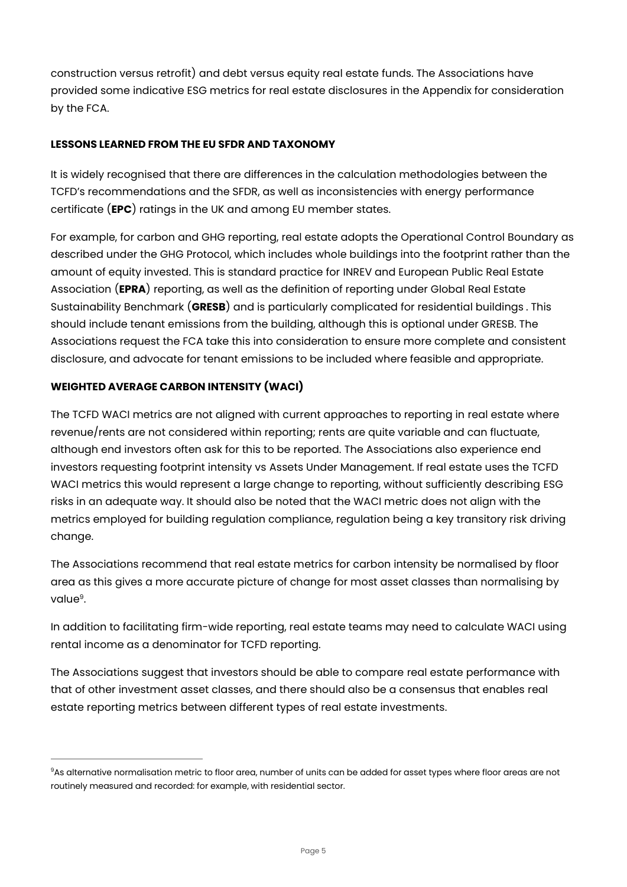construction versus retrofit) and debt versus equity real estate funds. The Associations have provided some indicative ESG metrics for real estate disclosures in the Appendix for consideration by the FCA.

## **LESSONS LEARNED FROM THE EU SFDR AND TAXONOMY**

It is widely recognised that there are differences in the calculation methodologies between the TCFD's recommendations and the SFDR, as well as inconsistencies with energy performance certificate (**EPC**) ratings in the UK and among EU member states.

For example, for carbon and GHG reporting, real estate adopts the Operational Control Boundary as described under the GHG Protocol, which includes whole buildings into the footprint rather than the amount of equity invested. This is standard practice for INREV and European Public Real Estate Association (**EPRA**) reporting, as well as the definition of reporting under Global Real Estate Sustainability Benchmark (**GRESB**) and is particularly complicated for residential buildings . This should include tenant emissions from the building, although this is optional under GRESB. The Associations request the FCA take this into consideration to ensure more complete and consistent disclosure, and advocate for tenant emissions to be included where feasible and appropriate.

# **WEIGHTED AVERAGE CARBON INTENSITY (WACI)**

The TCFD WACI metrics are not aligned with current approaches to reporting in real estate where revenue/rents are not considered within reporting; rents are quite variable and can fluctuate, although end investors often ask for this to be reported. The Associations also experience end investors requesting footprint intensity vs Assets Under Management. If real estate uses the TCFD WACI metrics this would represent a large change to reporting, without sufficiently describing ESG risks in an adequate way. It should also be noted that the WACI metric does not align with the metrics employed for building regulation compliance, regulation being a key transitory risk driving change.

The Associations recommend that real estate metrics for carbon intensity be normalised by floor area as this gives a more accurate picture of change for most asset classes than normalising by value<sup>9</sup>.

<span id="page-4-0"></span>In addition to facilitating firm-wide reporting, real estate teams may need to calculate WACI using rental income as a denominator for TCFD reporting.

The Associations suggest that investors should be able to compare real estate performance with that of other investment asset classes, and there should also be a consensus that enables real estate reporting metrics between different types of real estate investments.

<sup>&</sup>lt;sup>9</sup>As alternative normalisation metric to floor area, number of units can be added for asset types where floor areas are not routinely measured and recorded: for example, with residential sector.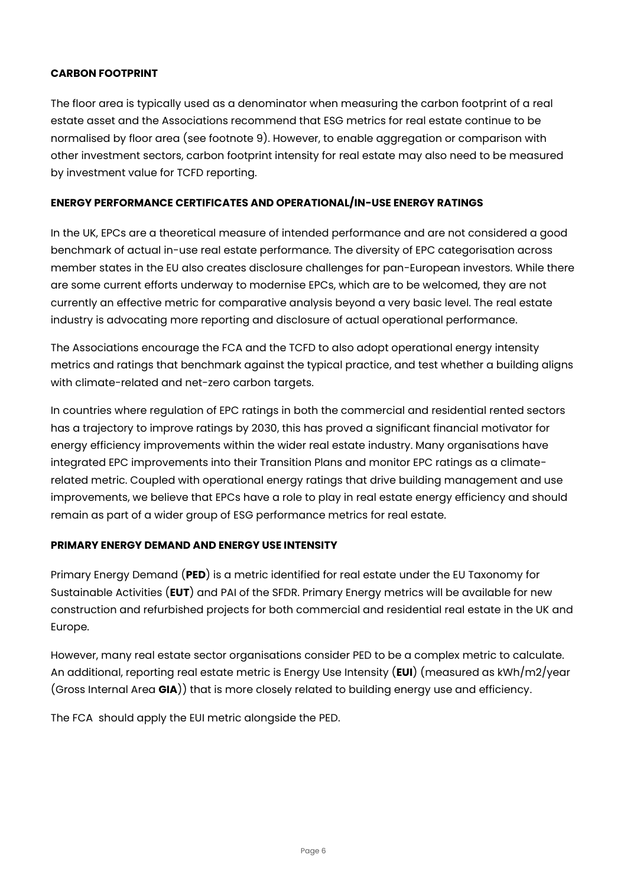#### **CARBON FOOTPRINT**

The floor area is typically used as a denominator when measuring the carbon footprint of a real estate asset and the Associations recommend that ESG metrics for real estate continue to be normalised by floor area (see footnote [9\)](#page-4-0). However, to enable aggregation or comparison with other investment sectors, carbon footprint intensity for real estate may also need to be measured by investment value for TCFD reporting.

### **ENERGY PERFORMANCE CERTIFICATES AND OPERATIONAL/IN-USE ENERGY RATINGS**

In the UK, EPCs are a theoretical measure of intended performance and are not considered a good benchmark of actual in-use real estate performance. The diversity of EPC categorisation across member states in the EU also creates disclosure challenges for pan-European investors. While there are some current efforts underway to modernise EPCs, which are to be welcomed, they are not currently an effective metric for comparative analysis beyond a very basic level. The real estate industry is advocating more reporting and disclosure of actual operational performance.

The Associations encourage the FCA and the TCFD to also adopt operational energy intensity metrics and ratings that benchmark against the typical practice, and test whether a building aligns with climate-related and net-zero carbon targets.

In countries where regulation of EPC ratings in both the commercial and residential rented sectors has a trajectory to improve ratings by 2030, this has proved a significant financial motivator for energy efficiency improvements within the wider real estate industry. Many organisations have integrated EPC improvements into their Transition Plans and monitor EPC ratings as a climaterelated metric. Coupled with operational energy ratings that drive building management and use improvements, we believe that EPCs have a role to play in real estate energy efficiency and should remain as part of a wider group of ESG performance metrics for real estate.

## **PRIMARY ENERGY DEMAND AND ENERGY USE INTENSITY**

Primary Energy Demand (**PED**) is a metric identified for real estate under the EU Taxonomy for Sustainable Activities (**EUT**) and PAI of the SFDR. Primary Energy metrics will be available for new construction and refurbished projects for both commercial and residential real estate in the UK and Europe.

However, many real estate sector organisations consider PED to be a complex metric to calculate. An additional, reporting real estate metric is Energy Use Intensity (**EUI**) (measured as kWh/m2/year (Gross Internal Area **GIA**)) that is more closely related to building energy use and efficiency.

The FCA should apply the EUI metric alongside the PED.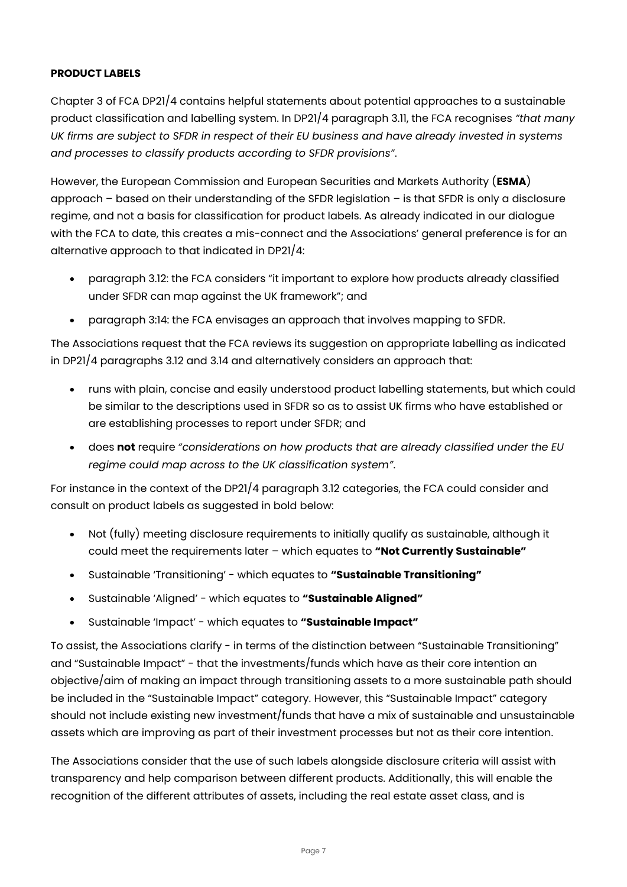## **PRODUCT LABELS**

Chapter 3 of FCA DP21/4 contains helpful statements about potential approaches to a sustainable product classification and labelling system. In DP21/4 paragraph 3.11, the FCA recognises *"that many UK firms are subject to SFDR in respect of their EU business and have already invested in systems and processes to classify products according to SFDR provisions"*.

However, the European Commission and European Securities and Markets Authority (**ESMA**) approach – based on their understanding of the SFDR legislation – is that SFDR is only a disclosure regime, and not a basis for classification for product labels. As already indicated in our dialogue with the FCA to date, this creates a mis-connect and the Associations' general preference is for an alternative approach to that indicated in DP21/4:

- paragraph 3.12: the FCA considers "it important to explore how products already classified under SFDR can map against the UK framework"; and
- paragraph 3:14: the FCA envisages an approach that involves mapping to SFDR.

The Associations request that the FCA reviews its suggestion on appropriate labelling as indicated in DP21/4 paragraphs 3.12 and 3.14 and alternatively considers an approach that:

- runs with plain, concise and easily understood product labelling statements, but which could be similar to the descriptions used in SFDR so as to assist UK firms who have established or are establishing processes to report under SFDR; and
- does **not** require *"considerations on how products that are already classified under the EU regime could map across to the UK classification system"*.

For instance in the context of the DP21/4 paragraph 3.12 categories, the FCA could consider and consult on product labels as suggested in bold below:

- Not (fully) meeting disclosure requirements to initially qualify as sustainable, although it could meet the requirements later – which equates to **"Not Currently Sustainable"**
- Sustainable 'Transitioning' which equates to **"Sustainable Transitioning"**
- Sustainable 'Aligned' which equates to **"Sustainable Aligned"**
- Sustainable 'Impact' which equates to **"Sustainable Impact"**

To assist, the Associations clarify - in terms of the distinction between "Sustainable Transitioning" and "Sustainable Impact" - that the investments/funds which have as their core intention an objective/aim of making an impact through transitioning assets to a more sustainable path should be included in the "Sustainable Impact" category. However, this "Sustainable Impact" category should not include existing new investment/funds that have a mix of sustainable and unsustainable assets which are improving as part of their investment processes but not as their core intention.

The Associations consider that the use of such labels alongside disclosure criteria will assist with transparency and help comparison between different products. Additionally, this will enable the recognition of the different attributes of assets, including the real estate asset class, and is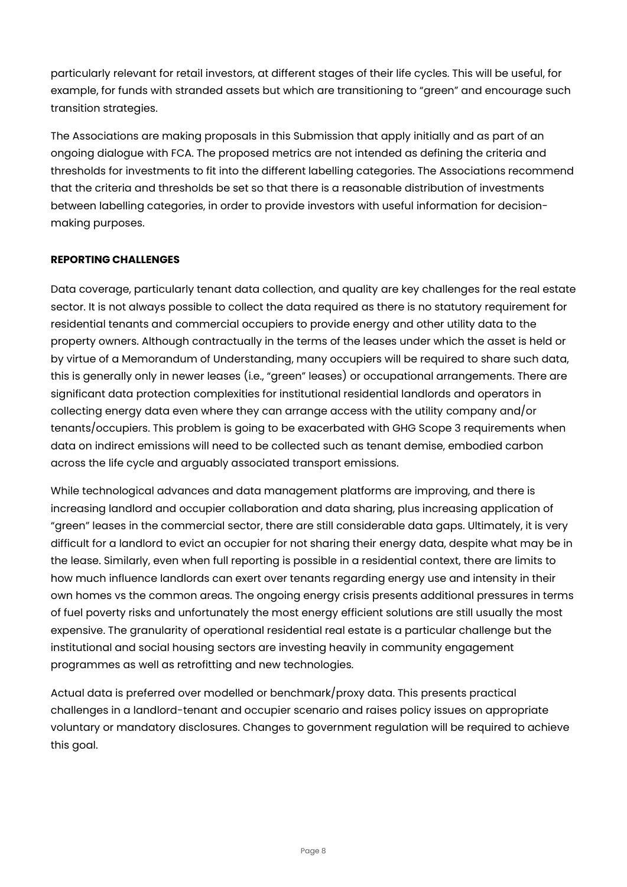particularly relevant for retail investors, at different stages of their life cycles. This will be useful, for example, for funds with stranded assets but which are transitioning to "green" and encourage such transition strategies.

The Associations are making proposals in this Submission that apply initially and as part of an ongoing dialogue with FCA. The proposed metrics are not intended as defining the criteria and thresholds for investments to fit into the different labelling categories. The Associations recommend that the criteria and thresholds be set so that there is a reasonable distribution of investments between labelling categories, in order to provide investors with useful information for decisionmaking purposes.

## **REPORTING CHALLENGES**

Data coverage, particularly tenant data collection, and quality are key challenges for the real estate sector. It is not always possible to collect the data required as there is no statutory requirement for residential tenants and commercial occupiers to provide energy and other utility data to the property owners. Although contractually in the terms of the leases under which the asset is held or by virtue of a Memorandum of Understanding, many occupiers will be required to share such data, this is generally only in newer leases (i.e., "green" leases) or occupational arrangements. There are significant data protection complexities for institutional residential landlords and operators in collecting energy data even where they can arrange access with the utility company and/or tenants/occupiers. This problem is going to be exacerbated with GHG Scope 3 requirements when data on indirect emissions will need to be collected such as tenant demise, embodied carbon across the life cycle and arguably associated transport emissions.

While technological advances and data management platforms are improving, and there is increasing landlord and occupier collaboration and data sharing, plus increasing application of "green" leases in the commercial sector, there are still considerable data gaps. Ultimately, it is very difficult for a landlord to evict an occupier for not sharing their energy data, despite what may be in the lease. Similarly, even when full reporting is possible in a residential context, there are limits to how much influence landlords can exert over tenants regarding energy use and intensity in their own homes vs the common areas. The ongoing energy crisis presents additional pressures in terms of fuel poverty risks and unfortunately the most energy efficient solutions are still usually the most expensive. The granularity of operational residential real estate is a particular challenge but the institutional and social housing sectors are investing heavily in community engagement programmes as well as retrofitting and new technologies.

Actual data is preferred over modelled or benchmark/proxy data. This presents practical challenges in a landlord-tenant and occupier scenario and raises policy issues on appropriate voluntary or mandatory disclosures. Changes to government regulation will be required to achieve this goal.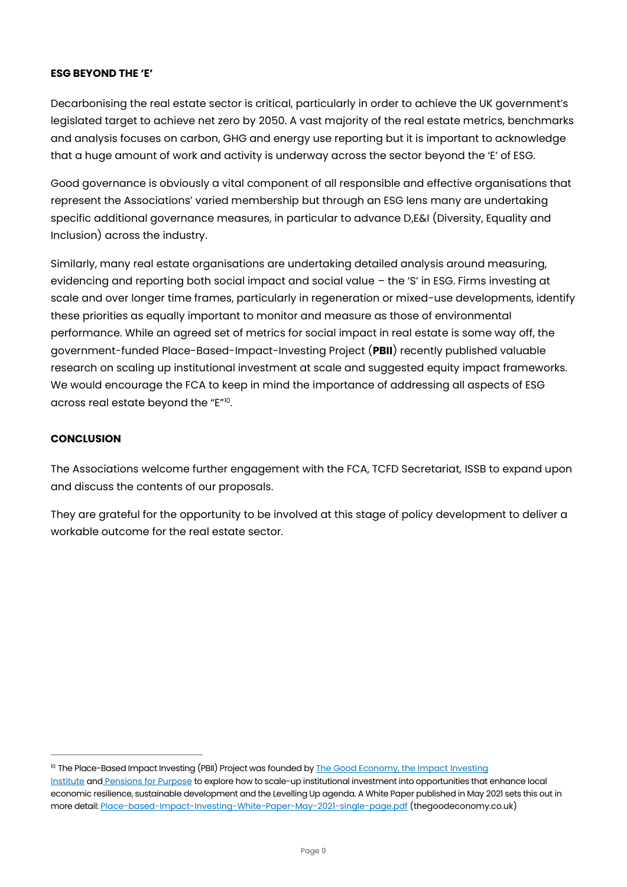#### **ESG BEYOND THE 'E'**

Decarbonising the real estate sector is critical, particularly in order to achieve the UK government's legislated target to achieve net zero by 2050. A vast majority of the real estate metrics, benchmarks and analysis focuses on carbon, GHG and energy use reporting but it is important to acknowledge that a huge amount of work and activity is underway across the sector beyond the 'E' of ESG.

Good governance is obviously a vital component of all responsible and effective organisations that represent the Associations' varied membership but through an ESG lens many are undertaking specific additional governance measures, in particular to advance D,E&I (Diversity, Equality and Inclusion) across the industry.

Similarly, many real estate organisations are undertaking detailed analysis around measuring, evidencing and reporting both social impact and social value – the 'S' in ESG. Firms investing at scale and over longer time frames, particularly in regeneration or mixed-use developments, identify these priorities as equally important to monitor and measure as those of environmental performance. While an agreed set of metrics for social impact in real estate is some way off, the government-funded Place-Based-Impact-Investing Project (**PBII**) recently published valuable research on scaling up institutional investment at scale and suggested equity impact frameworks. We would encourage the FCA to keep in mind the importance of addressing all aspects of ESG across real estate beyond the "E"<sup>10</sup>.

#### **CONCLUSION**

The Associations welcome further engagement with the FCA, TCFD Secretariat, ISSB to expand upon and discuss the contents of our proposals.

They are grateful for the opportunity to be involved at this stage of policy development to deliver a workable outcome for the real estate sector.

<sup>&</sup>lt;sup>10</sup> The Place-Based Impact Investing (PBII) Project was founded by [The Good Economy,](https://thegoodeconomy.co.uk/) the Impact Investing [Institute](https://www.impactinvest.org.uk/) and [Pensions for Purpose](https://www.pensionsforpurpose.com/) to explore how to scale-up institutional investment into opportunities that enhance local economic resilience, sustainable development and the Levelling Up agenda. A White Paper published in May 2021 sets this out in more detail[: Place-based-Impact-Investing-White-Paper-May-2021-single-page.pdf](https://thegoodeconomy.co.uk/resources/reports/Place-based-Impact-Investing-White-Paper-May-2021-single-page.pdf) (thegoodeconomy.co.uk)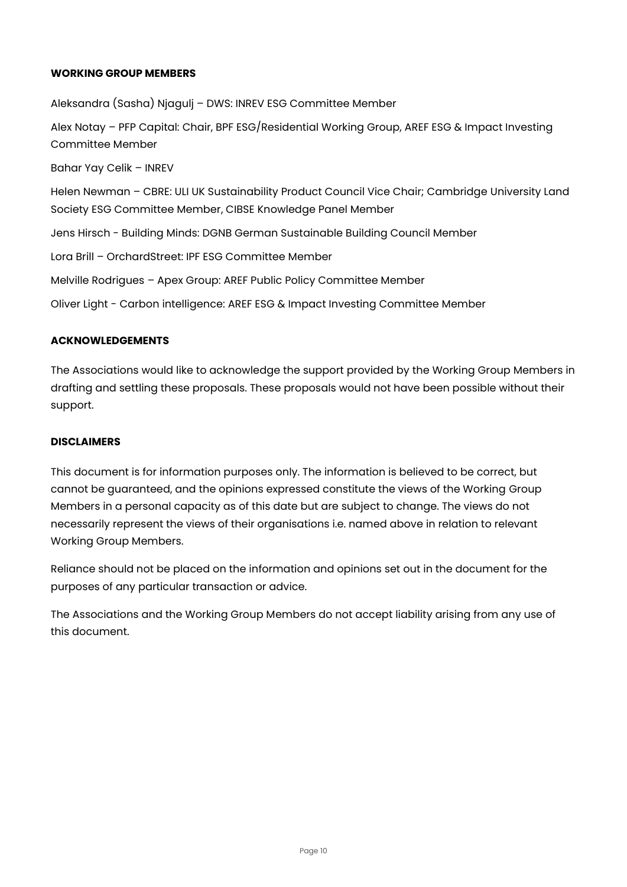#### **WORKING GROUP MEMBERS**

Aleksandra (Sasha) Njagulj – DWS: INREV ESG Committee Member Alex Notay – PFP Capital: Chair, BPF ESG/Residential Working Group, AREF ESG & Impact Investing Committee Member Bahar Yay Celik – INREV Helen Newman – CBRE: ULI UK Sustainability Product Council Vice Chair; Cambridge University Land Society ESG Committee Member, CIBSE Knowledge Panel Member Jens Hirsch - Building Minds: DGNB German Sustainable Building Council Member Lora Brill – OrchardStreet: IPF ESG Committee Member Melville Rodrigues – Apex Group: AREF Public Policy Committee Member Oliver Light - Carbon intelligence: AREF ESG & Impact Investing Committee Member

#### **ACKNOWLEDGEMENTS**

The Associations would like to acknowledge the support provided by the Working Group Members in drafting and settling these proposals. These proposals would not have been possible without their support.

#### **DISCLAIMERS**

This document is for information purposes only. The information is believed to be correct, but cannot be guaranteed, and the opinions expressed constitute the views of the Working Group Members in a personal capacity as of this date but are subject to change. The views do not necessarily represent the views of their organisations i.e. named above in relation to relevant Working Group Members.

Reliance should not be placed on the information and opinions set out in the document for the purposes of any particular transaction or advice.

The Associations and the Working Group Members do not accept liability arising from any use of this document.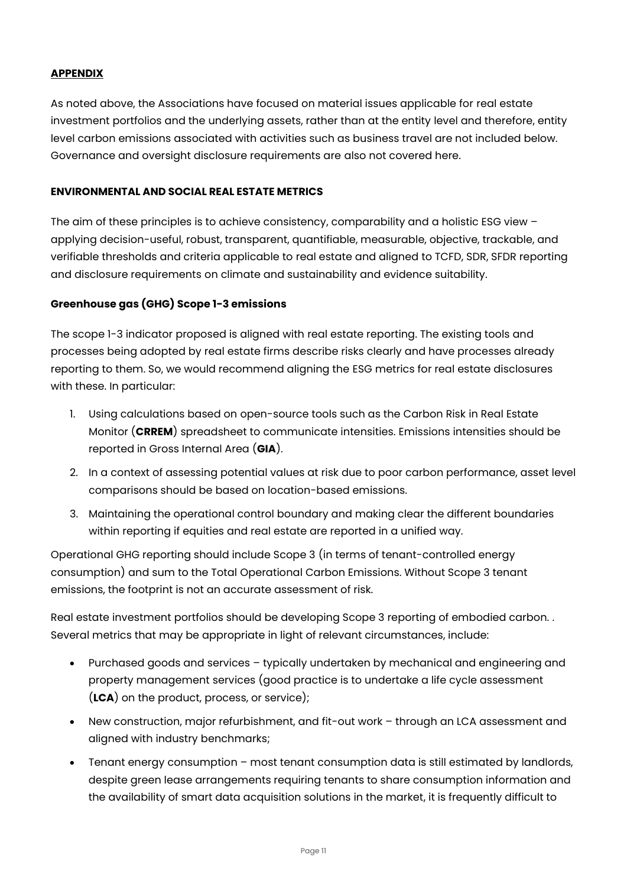## **APPENDIX**

As noted above, the Associations have focused on material issues applicable for real estate investment portfolios and the underlying assets, rather than at the entity level and therefore, entity level carbon emissions associated with activities such as business travel are not included below. Governance and oversight disclosure requirements are also not covered here.

### **ENVIRONMENTAL AND SOCIAL REAL ESTATE METRICS**

The aim of these principles is to achieve consistency, comparability and a holistic ESG view – applying decision-useful, robust, transparent, quantifiable, measurable, objective, trackable, and verifiable thresholds and criteria applicable to real estate and aligned to TCFD, SDR, SFDR reporting and disclosure requirements on climate and sustainability and evidence suitability.

## **Greenhouse gas (GHG) Scope 1-3 emissions**

The scope 1-3 indicator proposed is aligned with real estate reporting. The existing tools and processes being adopted by real estate firms describe risks clearly and have processes already reporting to them. So, we would recommend aligning the ESG metrics for real estate disclosures with these. In particular:

- 1. Using calculations based on open-source tools such as the Carbon Risk in Real Estate Monitor (**CRREM**) spreadsheet to communicate intensities. Emissions intensities should be reported in Gross Internal Area (**GIA**).
- 2. In a context of assessing potential values at risk due to poor carbon performance, asset level comparisons should be based on location-based emissions.
- 3. Maintaining the operational control boundary and making clear the different boundaries within reporting if equities and real estate are reported in a unified way.

Operational GHG reporting should include Scope 3 (in terms of tenant-controlled energy consumption) and sum to the Total Operational Carbon Emissions. Without Scope 3 tenant emissions, the footprint is not an accurate assessment of risk.

Real estate investment portfolios should be developing Scope 3 reporting of embodied carbon. . Several metrics that may be appropriate in light of relevant circumstances, include:

- Purchased goods and services typically undertaken by mechanical and engineering and property management services (good practice is to undertake a life cycle assessment (**LCA**) on the product, process, or service);
- New construction, major refurbishment, and fit-out work through an LCA assessment and aligned with industry benchmarks;
- Tenant energy consumption most tenant consumption data is still estimated by landlords, despite green lease arrangements requiring tenants to share consumption information and the availability of smart data acquisition solutions in the market, it is frequently difficult to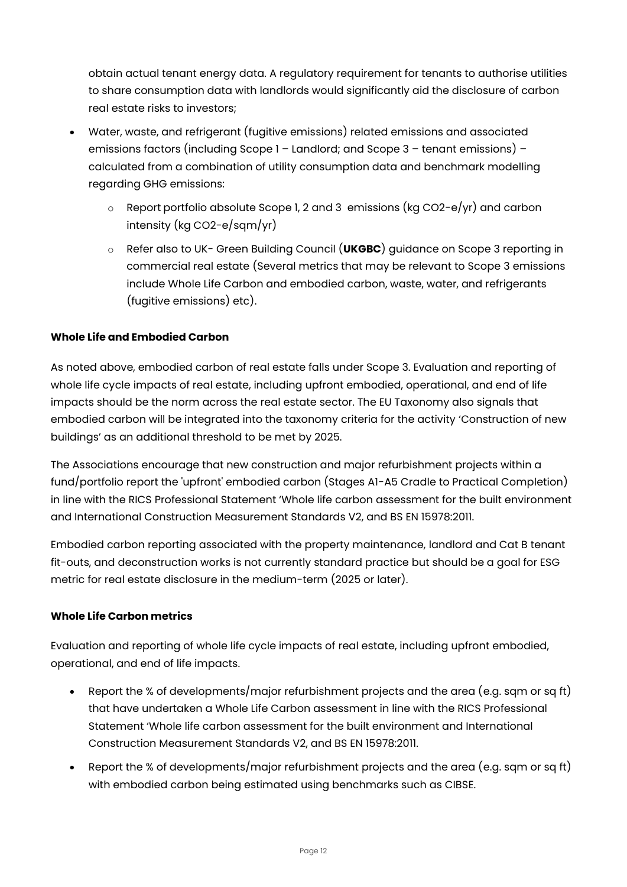obtain actual tenant energy data. A regulatory requirement for tenants to authorise utilities to share consumption data with landlords would significantly aid the disclosure of carbon real estate risks to investors;

- Water, waste, and refrigerant (fugitive emissions) related emissions and associated emissions factors (including Scope 1 – Landlord; and Scope 3 – tenant emissions) – calculated from a combination of utility consumption data and benchmark modelling regarding GHG emissions:
	- $\circ$  Report portfolio absolute Scope 1, 2 and 3 emissions (kg CO2-e/yr) and carbon intensity (kg CO2-e/sqm/yr)
	- o Refer also to UK- Green Building Council (**UKGBC**) guidance on Scope 3 reporting in commercial real estate (Several metrics that may be relevant to Scope 3 emissions include Whole Life Carbon and embodied carbon, waste, water, and refrigerants (fugitive emissions) etc).

## **Whole Life and Embodied Carbon**

As noted above, embodied carbon of real estate falls under Scope 3. Evaluation and reporting of whole life cycle impacts of real estate, including upfront embodied, operational, and end of life impacts should be the norm across the real estate sector. The EU Taxonomy also signals that embodied carbon will be integrated into the taxonomy criteria for the activity 'Construction of new buildings' as an additional threshold to be met by 2025.

The Associations encourage that new construction and major refurbishment projects within a fund/portfolio report the 'upfront' embodied carbon (Stages A1-A5 Cradle to Practical Completion) in line with the RICS Professional Statement 'Whole life carbon assessment for the built environment and International Construction Measurement Standards V2, and BS EN 15978:2011.

Embodied carbon reporting associated with the property maintenance, landlord and Cat B tenant fit-outs, and deconstruction works is not currently standard practice but should be a goal for ESG metric for real estate disclosure in the medium-term (2025 or later).

## **Whole Life Carbon metrics**

Evaluation and reporting of whole life cycle impacts of real estate, including upfront embodied, operational, and end of life impacts.

- Report the % of developments/major refurbishment projects and the area (e.g. sqm or sq ft) that have undertaken a Whole Life Carbon assessment in line with the RICS Professional Statement 'Whole life carbon assessment for the built environment and International Construction Measurement Standards V2, and BS EN 15978:2011.
- Report the % of developments/major refurbishment projects and the area (e.g. sqm or sq ft) with embodied carbon being estimated using benchmarks such as CIBSE.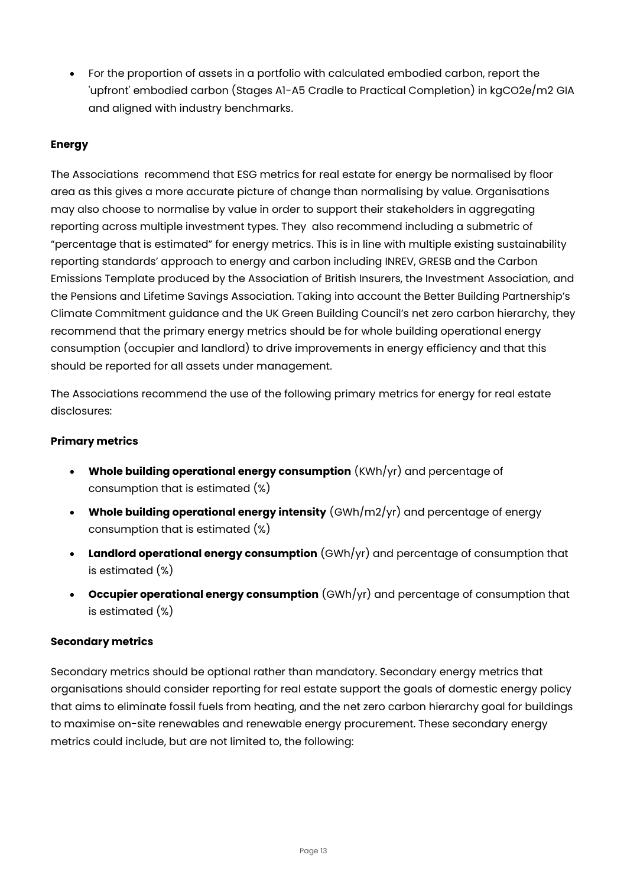• For the proportion of assets in a portfolio with calculated embodied carbon, report the 'upfront' embodied carbon (Stages A1-A5 Cradle to Practical Completion) in kgCO2e/m2 GIA and aligned with industry benchmarks.

# **Energy**

The Associations recommend that ESG metrics for real estate for energy be normalised by floor area as this gives a more accurate picture of change than normalising by value. Organisations may also choose to normalise by value in order to support their stakeholders in aggregating reporting across multiple investment types. They also recommend including a submetric of "percentage that is estimated" for energy metrics. This is in line with multiple existing sustainability reporting standards' approach to energy and carbon including INREV, GRESB and the Carbon Emissions Template produced by the Association of British Insurers, the Investment Association, and the Pensions and Lifetime Savings Association. Taking into account the Better Building Partnership's Climate Commitment guidance and the UK Green Building Council's net zero carbon hierarchy, they recommend that the primary energy metrics should be for whole building operational energy consumption (occupier and landlord) to drive improvements in energy efficiency and that this should be reported for all assets under management.

The Associations recommend the use of the following primary metrics for energy for real estate disclosures:

## **Primary metrics**

- **Whole building operational energy consumption** (KWh/yr) and percentage of consumption that is estimated (%)
- **Whole building operational energy intensity** (GWh/m2/yr) and percentage of energy consumption that is estimated (%)
- **Landlord operational energy consumption** (GWh/yr) and percentage of consumption that is estimated (%)
- **Occupier operational energy consumption** (GWh/yr) and percentage of consumption that is estimated (%)

## **Secondary metrics**

Secondary metrics should be optional rather than mandatory. Secondary energy metrics that organisations should consider reporting for real estate support the goals of domestic energy policy that aims to eliminate fossil fuels from heating, and the net zero carbon hierarchy goal for buildings to maximise on-site renewables and renewable energy procurement. These secondary energy metrics could include, but are not limited to, the following: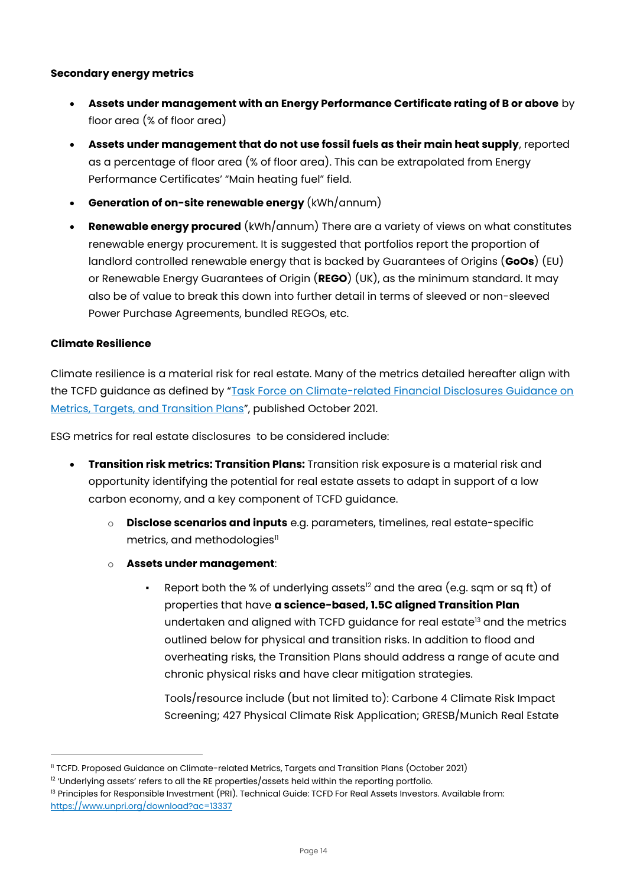## **Secondary energy metrics**

- **Assets under management with an Energy Performance Certificate rating of B or above** by floor area (% of floor area)
- **Assets under management that do not use fossil fuels as their main heat supply**, reported as a percentage of floor area (% of floor area). This can be extrapolated from Energy Performance Certificates' "Main heating fuel" field.
- **Generation of on-site renewable energy** (kWh/annum)
- **Renewable energy procured** (kWh/annum) There are a variety of views on what constitutes renewable energy procurement. It is suggested that portfolios report the proportion of landlord controlled renewable energy that is backed by Guarantees of Origins (**GoOs**) (EU) or Renewable Energy Guarantees of Origin (**REGO**) (UK), as the minimum standard. It may also be of value to break this down into further detail in terms of sleeved or non-sleeved Power Purchase Agreements, bundled REGOs, etc.

#### **Climate Resilience**

Climate resilience is a material risk for real estate. Many of the metrics detailed hereafter align with the TCFD guidance as defined by "Task Force on Climate-related Financial Disclosures Guidance on [Metrics, Targets, and Transition Plans](https://www.fsb-tcfd.org/publications/)", published October 2021.

ESG metrics for real estate disclosures to be considered include:

- **Transition risk metrics: Transition Plans:** Transition risk exposure is a material risk and opportunity identifying the potential for real estate assets to adapt in support of a low carbon economy, and a key component of TCFD guidance.
	- o **Disclose scenarios and inputs** e.g. parameters, timelines, real estate-specific metrics, and methodologies $\mathbb{I}$
	- o **Assets under management**:
		- Report both the % of underlying assets<sup>12</sup> and the area (e.g. sqm or sq ft) of properties that have **a science-based, 1.5C aligned Transition Plan** undertaken and aligned with TCFD guidance for real estate<sup>13</sup> and the metrics outlined below for physical and transition risks. In addition to flood and overheating risks, the Transition Plans should address a range of acute and chronic physical risks and have clear mitigation strategies.

Tools/resource include (but not limited to): Carbone 4 Climate Risk Impact Screening; 427 Physical Climate Risk Application; GRESB/Munich Real Estate

<sup>11</sup> TCFD. Proposed Guidance on Climate-related Metrics, Targets and Transition Plans (October 2021)

 $12$  'Underlying assets' refers to all the RE properties/assets held within the reporting portfolio.

<sup>&</sup>lt;sup>13</sup> Principles for Responsible Investment (PRI). Technical Guide: TCFD For Real Assets Investors. Available from: <https://www.unpri.org/download?ac=13337>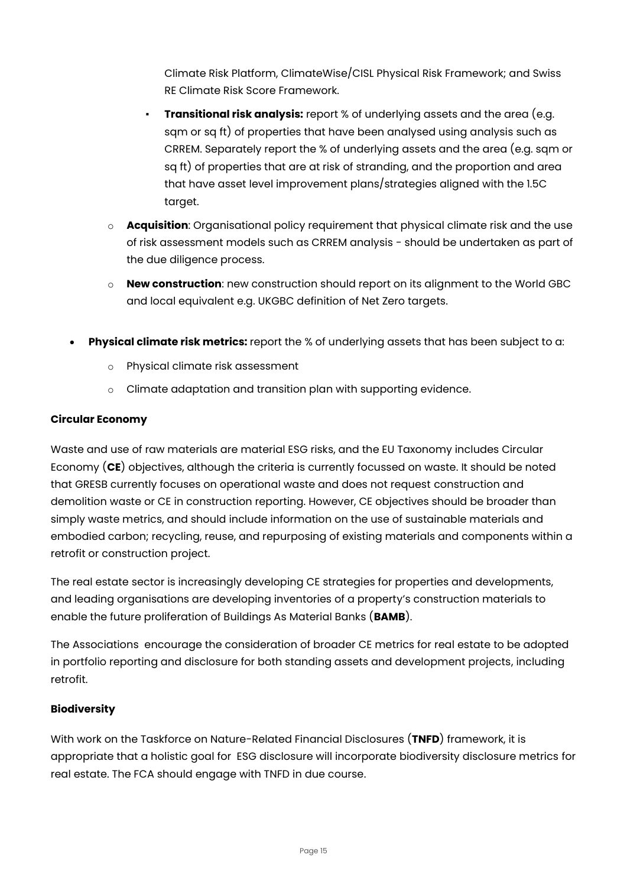Climate Risk Platform, ClimateWise/CISL Physical Risk Framework; and Swiss RE Climate Risk Score Framework.

- **Transitional risk analysis:** report % of underlying assets and the area (e.g. sqm or sq ft) of properties that have been analysed using analysis such as CRREM. Separately report the % of underlying assets and the area (e.g. sqm or sq ft) of properties that are at risk of stranding, and the proportion and area that have asset level improvement plans/strategies aligned with the 1.5C target.
- o **Acquisition**: Organisational policy requirement that physical climate risk and the use of risk assessment models such as CRREM analysis - should be undertaken as part of the due diligence process.
- o **New construction**: new construction should report on its alignment to the World GBC and local equivalent e.g. UKGBC definition of Net Zero targets.
- **Physical climate risk metrics:** report the % of underlying assets that has been subject to a:
	- o Physical climate risk assessment
	- o Climate adaptation and transition plan with supporting evidence.

## **Circular Economy**

Waste and use of raw materials are material ESG risks, and the EU Taxonomy includes Circular Economy (**CE**) objectives, although the criteria is currently focussed on waste. It should be noted that GRESB currently focuses on operational waste and does not request construction and demolition waste or CE in construction reporting. However, CE objectives should be broader than simply waste metrics, and should include information on the use of sustainable materials and embodied carbon; recycling, reuse, and repurposing of existing materials and components within a retrofit or construction project.

The real estate sector is increasingly developing CE strategies for properties and developments, and leading organisations are developing inventories of a property's construction materials to enable the future proliferation of Buildings As Material Banks (**BAMB**).

The Associations encourage the consideration of broader CE metrics for real estate to be adopted in portfolio reporting and disclosure for both standing assets and development projects, including retrofit.

## **Biodiversity**

With work on the Taskforce on Nature-Related Financial Disclosures (**TNFD**) framework, it is appropriate that a holistic goal for ESG disclosure will incorporate biodiversity disclosure metrics for real estate. The FCA should engage with TNFD in due course.